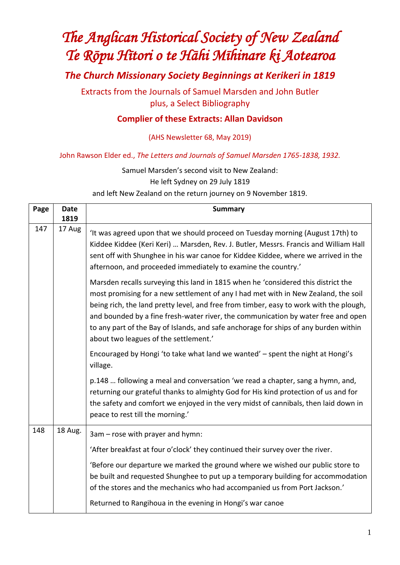# *The Anglican Historical Society of New Zealand Te Rōpu Hītori o te Hāhi Mīhinare ki Aotearoa*

*The Church Missionary Society Beginnings at Kerikeri in 1819*

Extracts from the Journals of Samuel Marsden and John Butler plus, a Select Bibliography

## **Complier of these Extracts: Allan Davidson**

(AHS Newsletter 68, May 2019)

John Rawson Elder ed., *The Letters and Journals of Samuel Marsden 1765-1838, 1932.*

Samuel Marsden's second visit to New Zealand:

He left Sydney on 29 July 1819

and left New Zealand on the return journey on 9 November 1819.

| Page | <b>Date</b> | <b>Summary</b>                                                                                                                                                                                                                                                                                                                                                                                                                                                                          |
|------|-------------|-----------------------------------------------------------------------------------------------------------------------------------------------------------------------------------------------------------------------------------------------------------------------------------------------------------------------------------------------------------------------------------------------------------------------------------------------------------------------------------------|
|      | 1819        |                                                                                                                                                                                                                                                                                                                                                                                                                                                                                         |
| 147  | 17 Aug      | 'It was agreed upon that we should proceed on Tuesday morning (August 17th) to<br>Kiddee Kiddee (Keri Keri)  Marsden, Rev. J. Butler, Messrs. Francis and William Hall<br>sent off with Shunghee in his war canoe for Kiddee Kiddee, where we arrived in the<br>afternoon, and proceeded immediately to examine the country.'                                                                                                                                                           |
|      |             | Marsden recalls surveying this land in 1815 when he 'considered this district the<br>most promising for a new settlement of any I had met with in New Zealand, the soil<br>being rich, the land pretty level, and free from timber, easy to work with the plough,<br>and bounded by a fine fresh-water river, the communication by water free and open<br>to any part of the Bay of Islands, and safe anchorage for ships of any burden within<br>about two leagues of the settlement.' |
|      |             | Encouraged by Hongi 'to take what land we wanted' - spent the night at Hongi's<br>village.                                                                                                                                                                                                                                                                                                                                                                                              |
|      |             | p.148  following a meal and conversation 'we read a chapter, sang a hymn, and,<br>returning our grateful thanks to almighty God for His kind protection of us and for<br>the safety and comfort we enjoyed in the very midst of cannibals, then laid down in<br>peace to rest till the morning.'                                                                                                                                                                                        |
| 148  | 18 Aug.     | 3am – rose with prayer and hymn:                                                                                                                                                                                                                                                                                                                                                                                                                                                        |
|      |             | 'After breakfast at four o'clock' they continued their survey over the river.                                                                                                                                                                                                                                                                                                                                                                                                           |
|      |             | 'Before our departure we marked the ground where we wished our public store to<br>be built and requested Shunghee to put up a temporary building for accommodation<br>of the stores and the mechanics who had accompanied us from Port Jackson.'                                                                                                                                                                                                                                        |
|      |             | Returned to Rangihoua in the evening in Hongi's war canoe                                                                                                                                                                                                                                                                                                                                                                                                                               |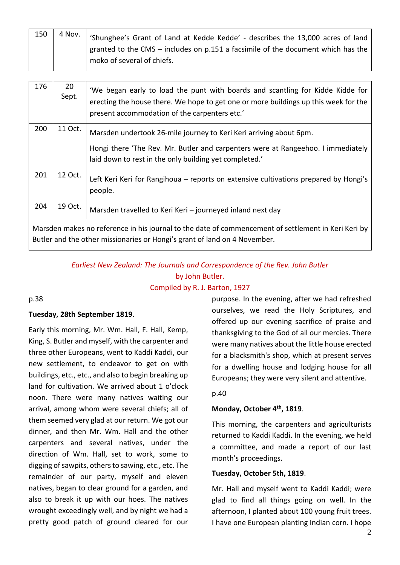| 150 | 4 Nov. | 'Shunghee's Grant of Land at Kedde Kedde' - describes the 13,000 acres of land     |
|-----|--------|------------------------------------------------------------------------------------|
|     |        | granted to the CMS $-$ includes on p.151 a facsimile of the document which has the |
|     |        | moko of several of chiefs.                                                         |

| 176                                                                                                                                                                              | 20<br>Sept. | 'We began early to load the punt with boards and scantling for Kidde Kidde for<br>erecting the house there. We hope to get one or more buildings up this week for the<br>present accommodation of the carpenters etc.' |  |  |
|----------------------------------------------------------------------------------------------------------------------------------------------------------------------------------|-------------|------------------------------------------------------------------------------------------------------------------------------------------------------------------------------------------------------------------------|--|--|
| 200                                                                                                                                                                              | 11 Oct.     | Marsden undertook 26-mile journey to Keri Keri arriving about 6pm.<br>Hongi there 'The Rev. Mr. Butler and carpenters were at Rangeehoo. I immediately<br>laid down to rest in the only building yet completed.'       |  |  |
| 201                                                                                                                                                                              | 12 Oct.     | Left Keri Keri for Rangihoua – reports on extensive cultivations prepared by Hongi's<br>people.                                                                                                                        |  |  |
| 204                                                                                                                                                                              | 19 Oct.     | Marsden travelled to Keri Keri - journeyed inland next day                                                                                                                                                             |  |  |
| Marsden makes no reference in his journal to the date of commencement of settlement in Keri Keri by<br>Butler and the other missionaries or Hongi's grant of land on 4 November. |             |                                                                                                                                                                                                                        |  |  |

*Earliest New Zealand: The Journals and Correspondence of the Rev. John Butler* by John Butler.

Compiled by R. J. Barton, 1927

#### p.38

#### **Tuesday, 28th September 1819**.

Early this morning, Mr. Wm. Hall, F. Hall, Kemp, King, S. Butler and myself, with the carpenter and three other Europeans, went to Kaddi Kaddi, our new settlement, to endeavor to get on with buildings, etc., etc., and also to begin breaking up land for cultivation. We arrived about 1 o'clock noon. There were many natives waiting our arrival, among whom were several chiefs; all of them seemed very glad at our return. We got our dinner, and then Mr. Wm. Hall and the other carpenters and several natives, under the direction of Wm. Hall, set to work, some to digging of sawpits, others to sawing, etc., etc. The remainder of our party, myself and eleven natives, began to clear ground for a garden, and also to break it up with our hoes. The natives wrought exceedingly well, and by night we had a pretty good patch of ground cleared for our purpose. In the evening, after we had refreshed ourselves, we read the Holy Scriptures, and offered up our evening sacrifice of praise and thanksgiving to the God of all our mercies. There were many natives about the little house erected for a blacksmith's shop, which at present serves for a dwelling house and lodging house for all Europeans; they were very silent and attentive.

#### p.40

#### **Monday, October 4 th, 1819**.

This morning, the carpenters and agriculturists returned to Kaddi Kaddi. In the evening, we held a committee, and made a report of our last month's proceedings.

#### **Tuesday, October 5th, 1819**.

Mr. Hall and myself went to Kaddi Kaddi; were glad to find all things going on well. In the afternoon, I planted about 100 young fruit trees. I have one European planting Indian corn. I hope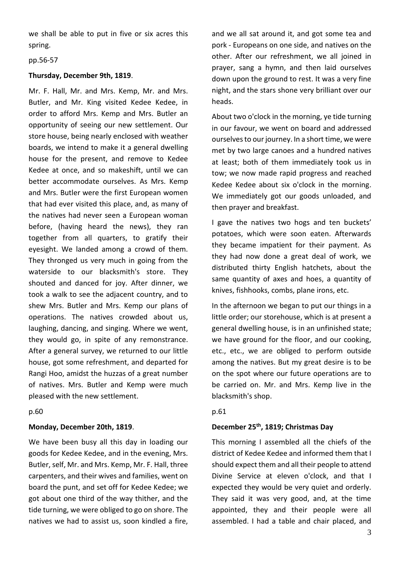we shall be able to put in five or six acres this spring.

#### pp.56-57

#### **Thursday, December 9th, 1819**.

Mr. F. Hall, Mr. and Mrs. Kemp, Mr. and Mrs. Butler, and Mr. King visited Kedee Kedee, in order to afford Mrs. Kemp and Mrs. Butler an opportunity of seeing our new settlement. Our store house, being nearly enclosed with weather boards, we intend to make it a general dwelling house for the present, and remove to Kedee Kedee at once, and so makeshift, until we can better accommodate ourselves. As Mrs. Kemp and Mrs. Butler were the first European women that had ever visited this place, and, as many of the natives had never seen a European woman before, (having heard the news), they ran together from all quarters, to gratify their eyesight. We landed among a crowd of them. They thronged us very much in going from the waterside to our blacksmith's store. They shouted and danced for joy. After dinner, we took a walk to see the adjacent country, and to shew Mrs. Butler and Mrs. Kemp our plans of operations. The natives crowded about us, laughing, dancing, and singing. Where we went, they would go, in spite of any remonstrance. After a general survey, we returned to our little house, got some refreshment, and departed for Rangi Hoo, amidst the huzzas of a great number of natives. Mrs. Butler and Kemp were much pleased with the new settlement.

#### p.60

#### **Monday, December 20th, 1819**.

We have been busy all this day in loading our goods for Kedee Kedee, and in the evening, Mrs. Butler, self, Mr. and Mrs. Kemp, Mr. F. Hall, three carpenters, and their wives and families, went on board the punt, and set off for Kedee Kedee; we got about one third of the way thither, and the tide turning, we were obliged to go on shore. The natives we had to assist us, soon kindled a fire, and we all sat around it, and got some tea and pork - Europeans on one side, and natives on the other. After our refreshment, we all joined in prayer, sang a hymn, and then laid ourselves down upon the ground to rest. It was a very fine night, and the stars shone very brilliant over our heads.

About two o'clock in the morning, ye tide turning in our favour, we went on board and addressed ourselves to our journey. In a short time, we were met by two large canoes and a hundred natives at least; both of them immediately took us in tow; we now made rapid progress and reached Kedee Kedee about six o'clock in the morning. We immediately got our goods unloaded, and then prayer and breakfast.

I gave the natives two hogs and ten buckets' potatoes, which were soon eaten. Afterwards they became impatient for their payment. As they had now done a great deal of work, we distributed thirty English hatchets, about the same quantity of axes and hoes, a quantity of knives, fishhooks, combs, plane irons, etc.

In the afternoon we began to put our things in a little order; our storehouse, which is at present a general dwelling house, is in an unfinished state; we have ground for the floor, and our cooking, etc., etc., we are obliged to perform outside among the natives. But my great desire is to be on the spot where our future operations are to be carried on. Mr. and Mrs. Kemp live in the blacksmith's shop.

#### p.61

#### **December 25th , 1819; Christmas Day**

This morning I assembled all the chiefs of the district of Kedee Kedee and informed them that I should expect them and all their people to attend Divine Service at eleven o'clock, and that I expected they would be very quiet and orderly. They said it was very good, and, at the time appointed, they and their people were all assembled. I had a table and chair placed, and